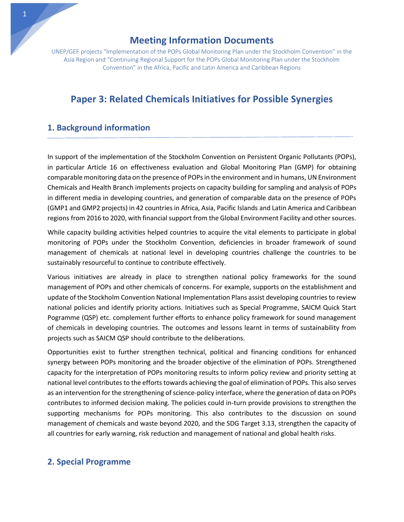UNEP/GEF projects "Implementation of the POPs Global Monitoring Plan under the Stockholm Convention" in the Asia Region and "Continuing Regional Support for the POPs Global Monitoring Plan under the Stockholm Convention" in the Africa, Pacific and Latin America and Caribbean Regions

# **Paper 3: Related Chemicals Initiatives for Possible Synergies**

#### **1. Background information**

In support of the implementation of the Stockholm Convention on Persistent Organic Pollutants (POPs), in particular Article 16 on effectiveness evaluation and Global Monitoring Plan (GMP) for obtaining comparable monitoring data on the presence of POPs in the environment and in humans, UN Environment Chemicals and Health Branch implements projects on capacity building for sampling and analysis of POPs in different media in developing countries, and generation of comparable data on the presence of POPs (GMP1 and GMP2 projects) in 42 countries in Africa, Asia, Pacific Islands and Latin America and Caribbean regions from 2016 to 2020, with financial support from the Global Environment Facility and other sources.

While capacity building activities helped countries to acquire the vital elements to participate in global monitoring of POPs under the Stockholm Convention, deficiencies in broader framework of sound management of chemicals at national level in developing countries challenge the countries to be sustainably resourceful to continue to contribute effectively.

Various initiatives are already in place to strengthen national policy frameworks for the sound management of POPs and other chemicals of concerns. For example, supports on the establishment and update of the Stockholm Convention National Implementation Plans assist developing countries to review national policies and identify priority actions. Initiatives such as Special Programme, SAICM Quick Start Pogramme (QSP) etc. complement further efforts to enhance policy framework for sound management of chemicals in developing countries. The outcomes and lessons learnt in terms of sustainability from projects such as SAICM QSP should contribute to the deliberations.

Opportunities exist to further strengthen technical, political and financing conditions for enhanced synergy between POPs monitoring and the broader objective of the elimination of POPs. Strengthened capacity for the interpretation of POPs monitoring results to inform policy review and priority setting at national level contributes to the efforts towards achieving the goal of elimination of POPs. This also serves as an intervention for the strengthening of science-policy interface, where the generation of data on POPs contributes to informed decision making. The policies could in-turn provide provisions to strengthen the supporting mechanisms for POPs monitoring. This also contributes to the discussion on sound management of chemicals and waste beyond 2020, and the SDG Target 3.13, strengthen the capacity of all countries for early warning, risk reduction and management of national and global health risks.

#### **2. Special Programme**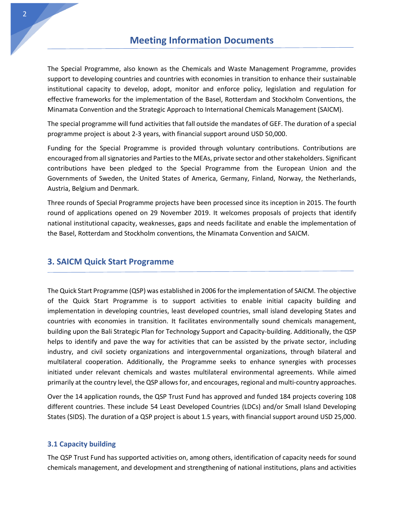The Special Programme, also known as the Chemicals and Waste Management Programme, provides support to developing countries and countries with economies in transition to enhance their sustainable institutional capacity to develop, adopt, monitor and enforce policy, legislation and regulation for effective frameworks for the implementation of the Basel, Rotterdam and Stockholm Conventions, the Minamata Convention and the Strategic Approach to International Chemicals Management (SAICM).

The special programme will fund activities that fall outside the mandates of GEF. The duration of a special programme project is about 2-3 years, with financial support around USD 50,000.

Funding for the Special Programme is provided through voluntary contributions. Contributions are encouraged from all signatories and Parties to the MEAs, private sector and other stakeholders. Significant contributions have been pledged to the Special Programme from the European Union and the Governments of Sweden, the United States of America, Germany, Finland, Norway, the Netherlands, Austria, Belgium and Denmark.

Three rounds of Special Programme projects have been processed since its inception in 2015. The fourth round of applications opened on 29 November 2019. It welcomes proposals of projects that identify national institutional capacity, weaknesses, gaps and needs facilitate and enable the implementation of the Basel, Rotterdam and Stockholm conventions, the Minamata Convention and SAICM.

### **3. SAICM Quick Start Programme**

The Quick Start Programme (QSP) was established in 2006 for the implementation of SAICM. The objective of the Quick Start Programme is to support activities to enable initial capacity building and implementation in developing countries, least developed countries, small island developing States and countries with economies in transition. It facilitates environmentally sound chemicals management, building upon the Bali Strategic Plan for Technology Support and Capacity-building. Additionally, the QSP helps to identify and pave the way for activities that can be assisted by the private sector, including industry, and civil society organizations and intergovernmental organizations, through bilateral and multilateral cooperation. Additionally, the Programme seeks to enhance synergies with processes initiated under relevant chemicals and wastes multilateral environmental agreements. While aimed primarily at the country level, the QSP allows for, and encourages, regional and multi-country approaches.

Over the 14 application rounds, the QSP Trust Fund has approved and funded 184 projects covering 108 different countries. These include 54 Least Developed Countries (LDCs) and/or Small Island Developing States (SIDS). The duration of a QSP project is about 1.5 years, with financial support around USD 25,000.

#### **3.1 Capacity building**

The QSP Trust Fund has supported activities on, among others, identification of capacity needs for sound chemicals management, and development and strengthening of national institutions, plans and activities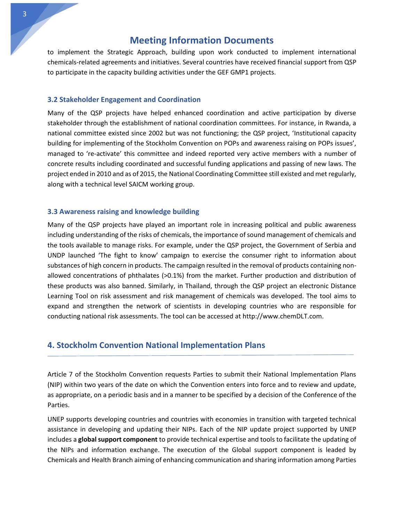to implement the Strategic Approach, building upon work conducted to implement international chemicals-related agreements and initiatives. Several countries have received financial support from QSP to participate in the capacity building activities under the GEF GMP1 projects.

#### **3.2 Stakeholder Engagement and Coordination**

Many of the QSP projects have helped enhanced coordination and active participation by diverse stakeholder through the establishment of national coordination committees. For instance, in Rwanda, a national committee existed since 2002 but was not functioning; the QSP project, 'Institutional capacity building for implementing of the Stockholm Convention on POPs and awareness raising on POPs issues', managed to 're-activate' this committee and indeed reported very active members with a number of concrete results including coordinated and successful funding applications and passing of new laws. The project ended in 2010 and as of 2015, the National Coordinating Committee still existed and met regularly, along with a technical level SAICM working group.

#### **3.3 Awareness raising and knowledge building**

Many of the QSP projects have played an important role in increasing political and public awareness including understanding of the risks of chemicals, the importance of sound management of chemicals and the tools available to manage risks. For example, under the QSP project, the Government of Serbia and UNDP launched 'The fight to know' campaign to exercise the consumer right to information about substances of high concern in products. The campaign resulted in the removal of products containing nonallowed concentrations of phthalates (>0.1%) from the market. Further production and distribution of these products was also banned. Similarly, in Thailand, through the QSP project an electronic Distance Learning Tool on risk assessment and risk management of chemicals was developed. The tool aims to expand and strengthen the network of scientists in developing countries who are responsible for conducting national risk assessments. The tool can be accessed at [http://www.chemDLT.com.](http://www.chemdlt.com/)

#### **4. Stockholm Convention National Implementation Plans**

Article 7 of the Stockholm Convention requests Parties to submit their National Implementation Plans (NIP) within two years of the date on which the Convention enters into force and to review and update, as appropriate, on a periodic basis and in a manner to be specified by a decision of the Conference of the Parties.

UNEP supports developing countries and countries with economies in transition with targeted technical assistance in developing and updating their NIPs. Each of the NIP update project supported by UNEP includes a **global support component** to provide technical expertise and tools to facilitate the updating of the NIPs and information exchange. The execution of the Global support component is leaded by Chemicals and Health Branch aiming of enhancing communication and sharing information among Parties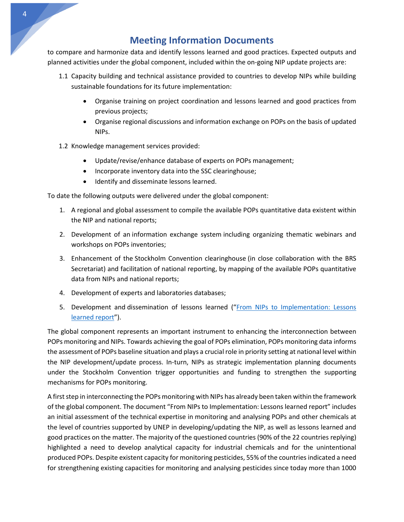to compare and harmonize data and identify lessons learned and good practices. Expected outputs and planned activities under the global component, included within the on-going NIP update projects are:

- 1.1 Capacity building and technical assistance provided to countries to develop NIPs while building sustainable foundations for its future implementation:
	- Organise training on project coordination and lessons learned and good practices from previous projects;
	- Organise regional discussions and information exchange on POPs on the basis of updated NIPs.
- 1.2 Knowledge management services provided:
	- Update/revise/enhance database of experts on POPs management;
	- Incorporate inventory data into the SSC clearinghouse;
	- Identify and disseminate lessons learned.

To date the following outputs were delivered under the global component:

- 1. A regional and global assessment to compile the available POPs quantitative data existent within the NIP and national reports;
- 2. Development of an information exchange system including organizing thematic webinars and workshops on POPs inventories;
- 3. Enhancement of the Stockholm Convention clearinghouse (in close collaboration with the BRS Secretariat) and facilitation of national reporting, by mapping of the available POPs quantitative data from NIPs and national reports;
- 4. Development of experts and laboratories databases;
- 5. Development and dissemination of lessons learned ("[From NIPs to Implementation: Lessons](https://www.unenvironment.org/resources/synthesis-reports/nips-implementation-lessons-learned-report)  [learned report](https://www.unenvironment.org/resources/synthesis-reports/nips-implementation-lessons-learned-report)").

The global component represents an important instrument to enhancing the interconnection between POPs monitoring and NIPs. Towards achieving the goal of POPs elimination, POPs monitoring data informs the assessment of POPs baseline situation and plays a crucial role in priority setting at national level within the NIP development/update process. In-turn, NIPs as strategic implementation planning documents under the Stockholm Convention trigger opportunities and funding to strengthen the supporting mechanisms for POPs monitoring.

A first step in interconnecting the POPs monitoring with NIPs has already been taken within the framework of the global component. The document "From NIPs to Implementation: Lessons learned report" includes an initial assessment of the technical expertise in monitoring and analysing POPs and other chemicals at the level of countries supported by UNEP in developing/updating the NIP, as well as lessons learned and good practices on the matter. The majority of the questioned countries (90% of the 22 countries replying) highlighted a need to develop analytical capacity for industrial chemicals and for the unintentional produced POPs. Despite existent capacity for monitoring pesticides, 55% of the countriesindicated a need for strengthening existing capacities for monitoring and analysing pesticides since today more than 1000